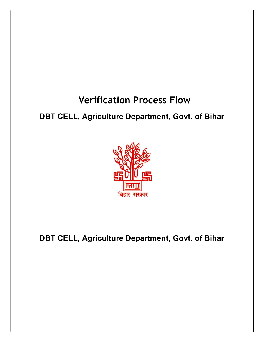## Verification Process Flow

## DBT CELL, Agriculture Department, Govt. of Bihar



DBT CELL, Agriculture Department, Govt. of Bihar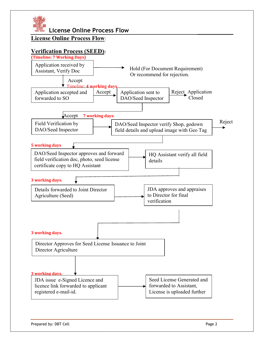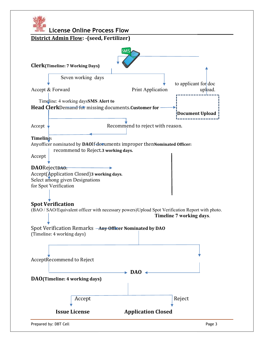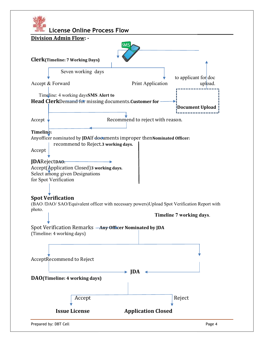| <b>License Online Process Flow</b><br><u>Division Admin Flow: -</u>                                                                   |                                  |                          |         |
|---------------------------------------------------------------------------------------------------------------------------------------|----------------------------------|--------------------------|---------|
| <b>SMS</b>                                                                                                                            |                                  |                          |         |
| <b>Clerk</b> (Timeline: 7 Working Days)                                                                                               |                                  |                          |         |
| Seven working days                                                                                                                    |                                  |                          |         |
| Accept & Forward                                                                                                                      | Print Application                | to applicant for doc     | upload. |
| Timeline: 4 working daysSMS Alert to<br>Head ClerkDemand for missing documents. Customer for                                          |                                  | Document Upload          |         |
| Accept                                                                                                                                | Recommend to reject with reason. |                          |         |
| Timeline:<br>Anyofficer nominated by JDAIf documents improper thenNominated Officer:<br>recommend to Reject.3 working days.<br>Accept |                                  |                          |         |
| JDARejectDA0.<br>Accept(Application Closed) 3 working days.<br>Select among given Designations<br>for Spot Verification               |                                  |                          |         |
| <b>Spot Verification</b><br>(BAO /DAO/ SAO/Equivalent officer with necessary powers)Upload Spot Verification Report with              |                                  |                          |         |
| photo.                                                                                                                                |                                  | Timeline 7 working days. |         |
| Spot Verification Remarks — Any Officer Nominated by JDA<br>(Timeline: 4 working days)                                                |                                  |                          |         |
| AcceptRecommend to Reject                                                                                                             |                                  |                          |         |
| DAO(Timeline: 4 working days)                                                                                                         | <b>IDA</b>                       |                          |         |
| Accept                                                                                                                                |                                  | Reject                   |         |
| <b>Issue License</b>                                                                                                                  | <b>Application Closed</b>        |                          |         |
| Prepared by: DBT Cell                                                                                                                 |                                  |                          | Page 4  |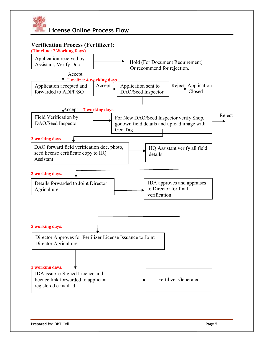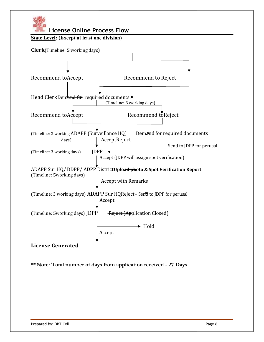

\*\*Note: Total number of days from application received - 27 Days